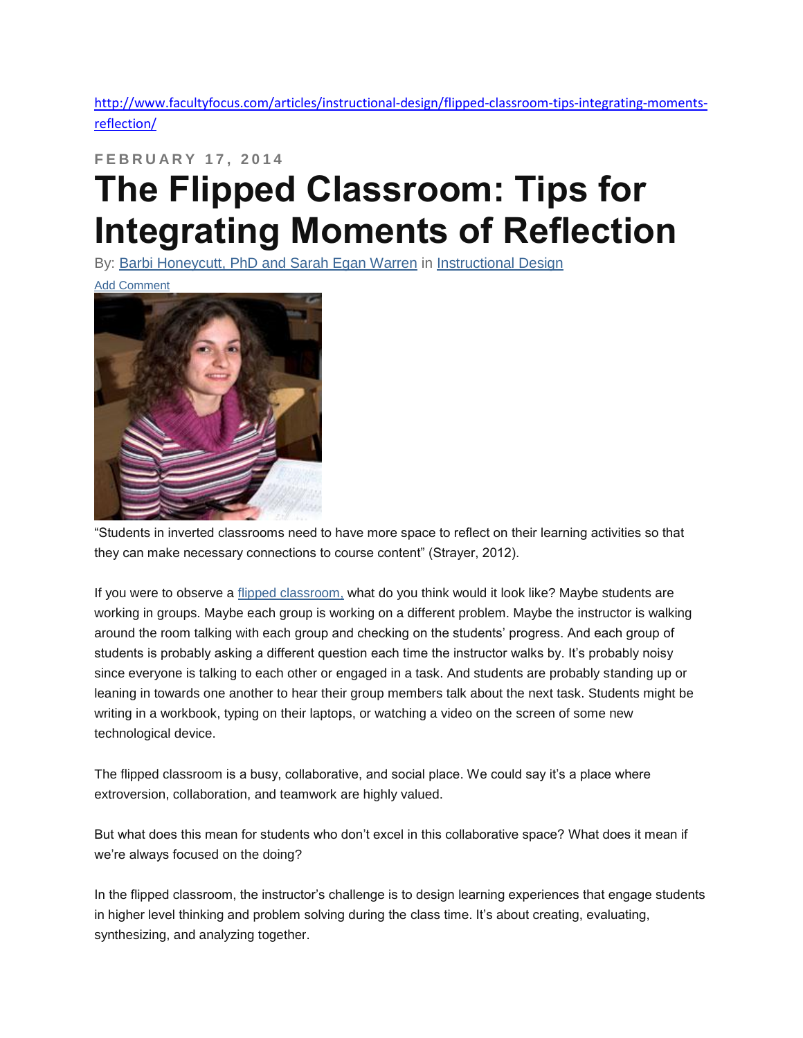[http://www.facultyfocus.com/articles/instructional-design/flipped-classroom-tips-integrating-moments](http://www.facultyfocus.com/articles/instructional-design/flipped-classroom-tips-integrating-moments-reflection/)[reflection/](http://www.facultyfocus.com/articles/instructional-design/flipped-classroom-tips-integrating-moments-reflection/)

## **F E B R U A R Y 1 7 , 2 0 1 4 The Flipped Classroom: Tips for Integrating Moments of Reflection**

By: [Barbi Honeycutt, PhD and Sarah Egan Warren](http://www.facultyfocus.com/author/honeycuttwarren/) in [Instructional Design](http://www.facultyfocus.com/topic/articles/instructional-design/)

[Add Comment](http://www.facultyfocus.com/articles/instructional-design/flipped-classroom-tips-integrating-moments-reflection/#comments-section)



"Students in inverted classrooms need to have more space to reflect on their learning activities so that they can make necessary connections to course content" (Strayer, 2012).

If you were to observe a [flipped classroom,](http://www.flipitconsulting.com/2012/08/30/the-lecture-vs-the-flip/) what do you think would it look like? Maybe students are working in groups. Maybe each group is working on a different problem. Maybe the instructor is walking around the room talking with each group and checking on the students' progress. And each group of students is probably asking a different question each time the instructor walks by. It's probably noisy since everyone is talking to each other or engaged in a task. And students are probably standing up or leaning in towards one another to hear their group members talk about the next task. Students might be writing in a workbook, typing on their laptops, or watching a video on the screen of some new technological device.

The flipped classroom is a busy, collaborative, and social place. We could say it's a place where extroversion, collaboration, and teamwork are highly valued.

But what does this mean for students who don't excel in this collaborative space? What does it mean if we're always focused on the doing?

In the flipped classroom, the instructor's challenge is to design learning experiences that engage students in higher level thinking and problem solving during the class time. It's about creating, evaluating, synthesizing, and analyzing together.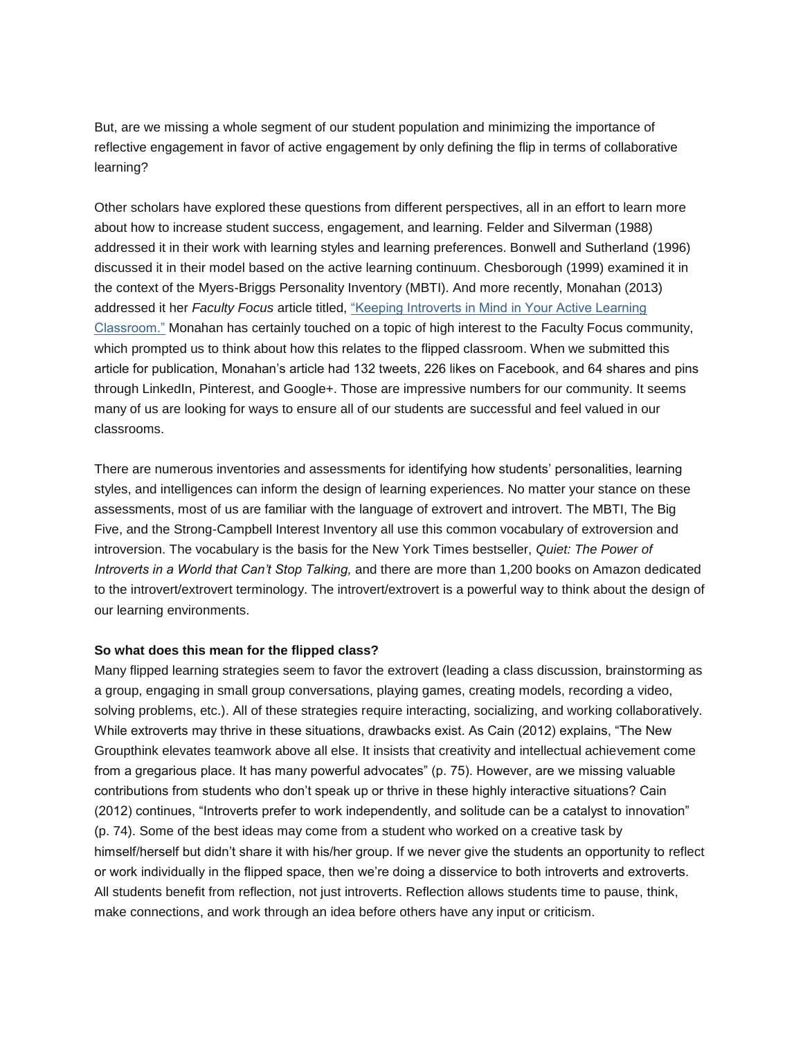But, are we missing a whole segment of our student population and minimizing the importance of reflective engagement in favor of active engagement by only defining the flip in terms of collaborative learning?

Other scholars have explored these questions from different perspectives, all in an effort to learn more about how to increase student success, engagement, and learning. Felder and Silverman (1988) addressed it in their work with learning styles and learning preferences. Bonwell and Sutherland (1996) discussed it in their model based on the active learning continuum. Chesborough (1999) examined it in the context of the Myers-Briggs Personality Inventory (MBTI). And more recently, Monahan (2013) addressed it her *Faculty Focus* article titled, ["Keeping Introverts in Mind in Your Active Learning](http://www.facultyfocus.com/articles/teaching-and-learning/keeping-introverts-in-mind-in-your-active-learning-classroom/)  [Classroom."](http://www.facultyfocus.com/articles/teaching-and-learning/keeping-introverts-in-mind-in-your-active-learning-classroom/) Monahan has certainly touched on a topic of high interest to the Faculty Focus community, which prompted us to think about how this relates to the flipped classroom. When we submitted this article for publication, Monahan's article had 132 tweets, 226 likes on Facebook, and 64 shares and pins through LinkedIn, Pinterest, and Google+. Those are impressive numbers for our community. It seems many of us are looking for ways to ensure all of our students are successful and feel valued in our classrooms.

There are numerous inventories and assessments for identifying how students' personalities, learning styles, and intelligences can inform the design of learning experiences. No matter your stance on these assessments, most of us are familiar with the language of extrovert and introvert. The MBTI, The Big Five, and the Strong-Campbell Interest Inventory all use this common vocabulary of extroversion and introversion. The vocabulary is the basis for the New York Times bestseller, *Quiet: The Power of Introverts in a World that Can't Stop Talking,* and there are more than 1,200 books on Amazon dedicated to the introvert/extrovert terminology. The introvert/extrovert is a powerful way to think about the design of our learning environments.

## **So what does this mean for the flipped class?**

Many flipped learning strategies seem to favor the extrovert (leading a class discussion, brainstorming as a group, engaging in small group conversations, playing games, creating models, recording a video, solving problems, etc.). All of these strategies require interacting, socializing, and working collaboratively. While extroverts may thrive in these situations, drawbacks exist. As Cain (2012) explains, "The New Groupthink elevates teamwork above all else. It insists that creativity and intellectual achievement come from a gregarious place. It has many powerful advocates" (p. 75). However, are we missing valuable contributions from students who don't speak up or thrive in these highly interactive situations? Cain (2012) continues, "Introverts prefer to work independently, and solitude can be a catalyst to innovation" (p. 74). Some of the best ideas may come from a student who worked on a creative task by himself/herself but didn't share it with his/her group. If we never give the students an opportunity to reflect or work individually in the flipped space, then we're doing a disservice to both introverts and extroverts. All students benefit from reflection, not just introverts. Reflection allows students time to pause, think, make connections, and work through an idea before others have any input or criticism.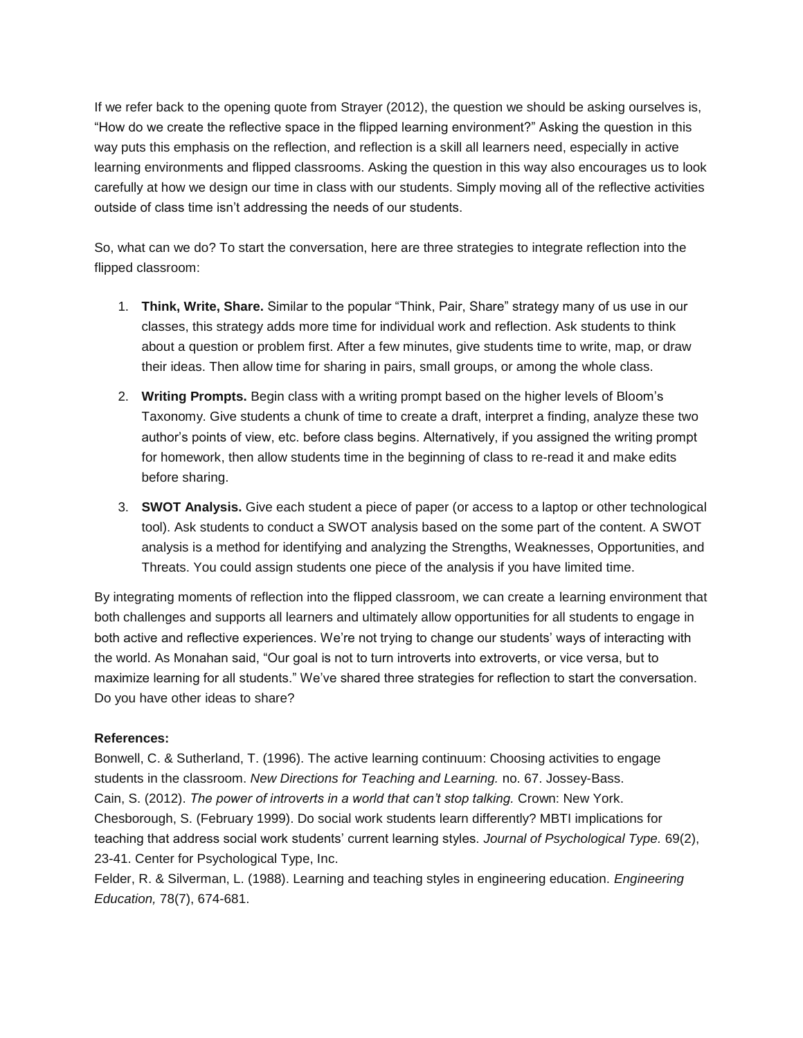If we refer back to the opening quote from Strayer (2012), the question we should be asking ourselves is, "How do we create the reflective space in the flipped learning environment?" Asking the question in this way puts this emphasis on the reflection, and reflection is a skill all learners need, especially in active learning environments and flipped classrooms. Asking the question in this way also encourages us to look carefully at how we design our time in class with our students. Simply moving all of the reflective activities outside of class time isn't addressing the needs of our students.

So, what can we do? To start the conversation, here are three strategies to integrate reflection into the flipped classroom:

- 1. **Think, Write, Share.** Similar to the popular "Think, Pair, Share" strategy many of us use in our classes, this strategy adds more time for individual work and reflection. Ask students to think about a question or problem first. After a few minutes, give students time to write, map, or draw their ideas. Then allow time for sharing in pairs, small groups, or among the whole class.
- 2. **Writing Prompts.** Begin class with a writing prompt based on the higher levels of Bloom's Taxonomy. Give students a chunk of time to create a draft, interpret a finding, analyze these two author's points of view, etc. before class begins. Alternatively, if you assigned the writing prompt for homework, then allow students time in the beginning of class to re-read it and make edits before sharing.
- 3. **SWOT Analysis.** Give each student a piece of paper (or access to a laptop or other technological tool). Ask students to conduct a SWOT analysis based on the some part of the content. A SWOT analysis is a method for identifying and analyzing the Strengths, Weaknesses, Opportunities, and Threats. You could assign students one piece of the analysis if you have limited time.

By integrating moments of reflection into the flipped classroom, we can create a learning environment that both challenges and supports all learners and ultimately allow opportunities for all students to engage in both active and reflective experiences. We're not trying to change our students' ways of interacting with the world. As Monahan said, "Our goal is not to turn introverts into extroverts, or vice versa, but to maximize learning for all students." We've shared three strategies for reflection to start the conversation. Do you have other ideas to share?

## **References:**

Bonwell, C. & Sutherland, T. (1996). The active learning continuum: Choosing activities to engage students in the classroom. *New Directions for Teaching and Learning.* no. 67. Jossey-Bass. Cain, S. (2012). *The power of introverts in a world that can't stop talking.* Crown: New York. Chesborough, S. (February 1999). Do social work students learn differently? MBTI implications for teaching that address social work students' current learning styles. *Journal of Psychological Type.* 69(2), 23-41. Center for Psychological Type, Inc.

Felder, R. & Silverman, L. (1988). Learning and teaching styles in engineering education. *Engineering Education,* 78(7), 674-681.